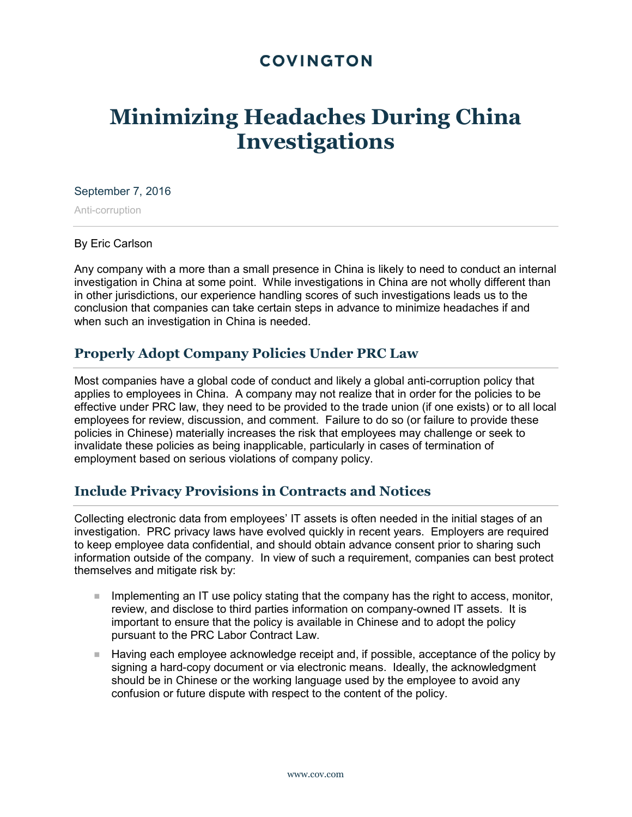## **COVINGTON**

# **Minimizing Headaches During China Investigations**

#### September 7, 2016

Anti-corruption

#### By Eric Carlson

Any company with a more than a small presence in China is likely to need to conduct an internal investigation in China at some point. While investigations in China are not wholly different than in other jurisdictions, our experience handling scores of such investigations leads us to the conclusion that companies can take certain steps in advance to minimize headaches if and when such an investigation in China is needed.

## **Properly Adopt Company Policies Under PRC Law**

Most companies have a global code of conduct and likely a global anti-corruption policy that applies to employees in China. A company may not realize that in order for the policies to be effective under PRC law, they need to be provided to the trade union (if one exists) or to all local employees for review, discussion, and comment. Failure to do so (or failure to provide these policies in Chinese) materially increases the risk that employees may challenge or seek to invalidate these policies as being inapplicable, particularly in cases of termination of employment based on serious violations of company policy.

## **Include Privacy Provisions in Contracts and Notices**

Collecting electronic data from employees' IT assets is often needed in the initial stages of an investigation. PRC privacy laws have evolved quickly in recent years. Employers are required to keep employee data confidential, and should obtain advance consent prior to sharing such information outside of the company. In view of such a requirement, companies can best protect themselves and mitigate risk by:

- Implementing an IT use policy stating that the company has the right to access, monitor, review, and disclose to third parties information on company-owned IT assets. It is important to ensure that the policy is available in Chinese and to adopt the policy pursuant to the PRC Labor Contract Law.
- **Having each employee acknowledge receipt and, if possible, acceptance of the policy by** signing a hard-copy document or via electronic means. Ideally, the acknowledgment should be in Chinese or the working language used by the employee to avoid any confusion or future dispute with respect to the content of the policy.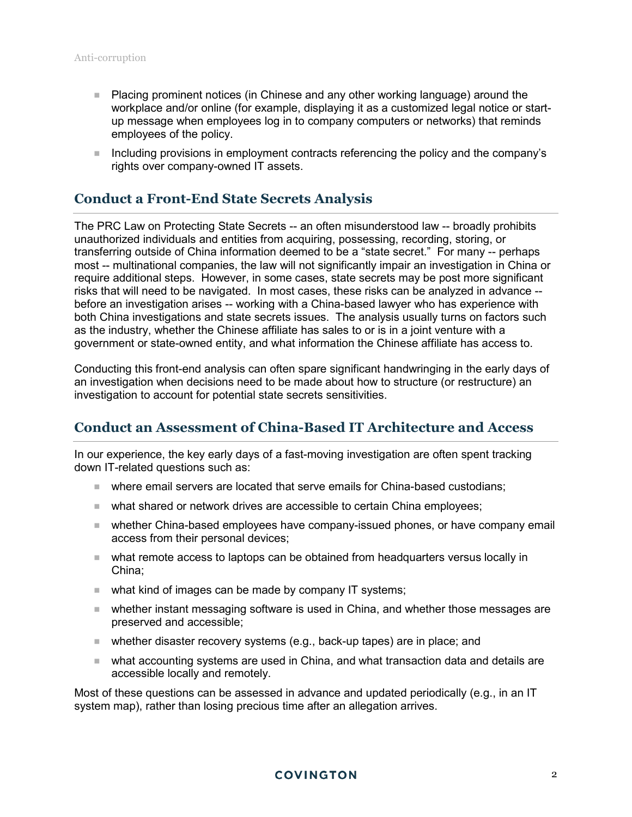- Placing prominent notices (in Chinese and any other working language) around the workplace and/or online (for example, displaying it as a customized legal notice or startup message when employees log in to company computers or networks) that reminds employees of the policy.
- Including provisions in employment contracts referencing the policy and the company's rights over company-owned IT assets.

## **Conduct a Front-End State Secrets Analysis**

The PRC Law on Protecting State Secrets -- an often misunderstood law -- broadly prohibits unauthorized individuals and entities from acquiring, possessing, recording, storing, or transferring outside of China information deemed to be a "state secret." For many -- perhaps most -- multinational companies, the law will not significantly impair an investigation in China or require additional steps. However, in some cases, state secrets may be post more significant risks that will need to be navigated. In most cases, these risks can be analyzed in advance - before an investigation arises -- working with a China-based lawyer who has experience with both China investigations and state secrets issues. The analysis usually turns on factors such as the industry, whether the Chinese affiliate has sales to or is in a joint venture with a government or state-owned entity, and what information the Chinese affiliate has access to.

Conducting this front-end analysis can often spare significant handwringing in the early days of an investigation when decisions need to be made about how to structure (or restructure) an investigation to account for potential state secrets sensitivities.

## **Conduct an Assessment of China-Based IT Architecture and Access**

In our experience, the key early days of a fast-moving investigation are often spent tracking down IT-related questions such as:

- where email servers are located that serve emails for China-based custodians;
- **Notable 1** what shared or network drives are accessible to certain China employees;
- whether China-based employees have company-issued phones, or have company email access from their personal devices;
- what remote access to laptops can be obtained from headquarters versus locally in China;
- what kind of images can be made by company IT systems;
- whether instant messaging software is used in China, and whether those messages are preserved and accessible;
- whether disaster recovery systems (e.g., back-up tapes) are in place; and
- what accounting systems are used in China, and what transaction data and details are accessible locally and remotely.

Most of these questions can be assessed in advance and updated periodically (e.g., in an IT system map), rather than losing precious time after an allegation arrives.

#### **COVINGTON**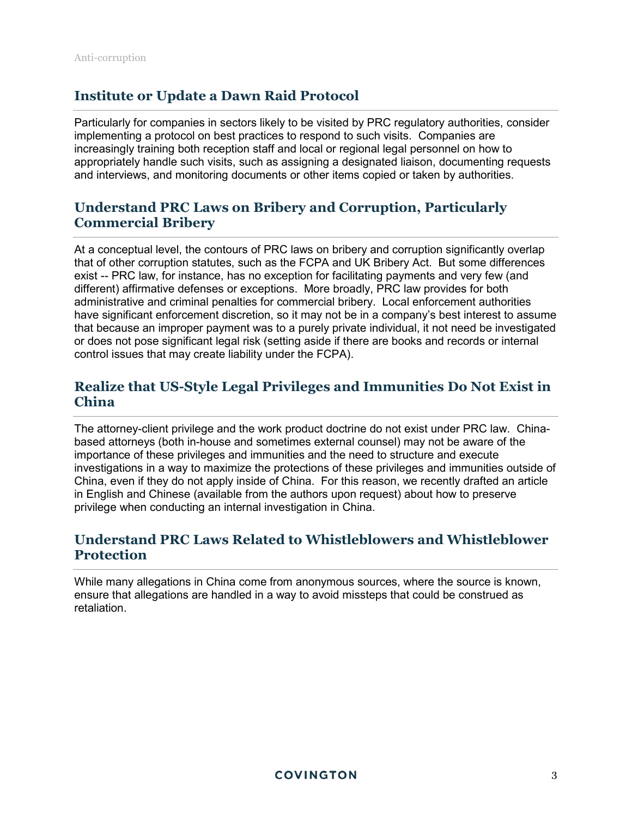## **Institute or Update a Dawn Raid Protocol**

Particularly for companies in sectors likely to be visited by PRC regulatory authorities, consider implementing a protocol on best practices to respond to such visits. Companies are increasingly training both reception staff and local or regional legal personnel on how to appropriately handle such visits, such as assigning a designated liaison, documenting requests and interviews, and monitoring documents or other items copied or taken by authorities.

## **Understand PRC Laws on Bribery and Corruption, Particularly Commercial Bribery**

At a conceptual level, the contours of PRC laws on bribery and corruption significantly overlap that of other corruption statutes, such as the FCPA and UK Bribery Act. But some differences exist -- PRC law, for instance, has no exception for facilitating payments and very few (and different) affirmative defenses or exceptions. More broadly, PRC law provides for both administrative and criminal penalties for commercial bribery. Local enforcement authorities have significant enforcement discretion, so it may not be in a company's best interest to assume that because an improper payment was to a purely private individual, it not need be investigated or does not pose significant legal risk (setting aside if there are books and records or internal control issues that may create liability under the FCPA).

## **Realize that US-Style Legal Privileges and Immunities Do Not Exist in China**

The attorney-client privilege and the work product doctrine do not exist under PRC law. Chinabased attorneys (both in-house and sometimes external counsel) may not be aware of the importance of these privileges and immunities and the need to structure and execute investigations in a way to maximize the protections of these privileges and immunities outside of China, even if they do not apply inside of China. For this reason, we recently drafted an article in English and Chinese (available from the authors upon request) about how to preserve privilege when conducting an internal investigation in China.

## **Understand PRC Laws Related to Whistleblowers and Whistleblower Protection**

While many allegations in China come from anonymous sources, where the source is known, ensure that allegations are handled in a way to avoid missteps that could be construed as retaliation.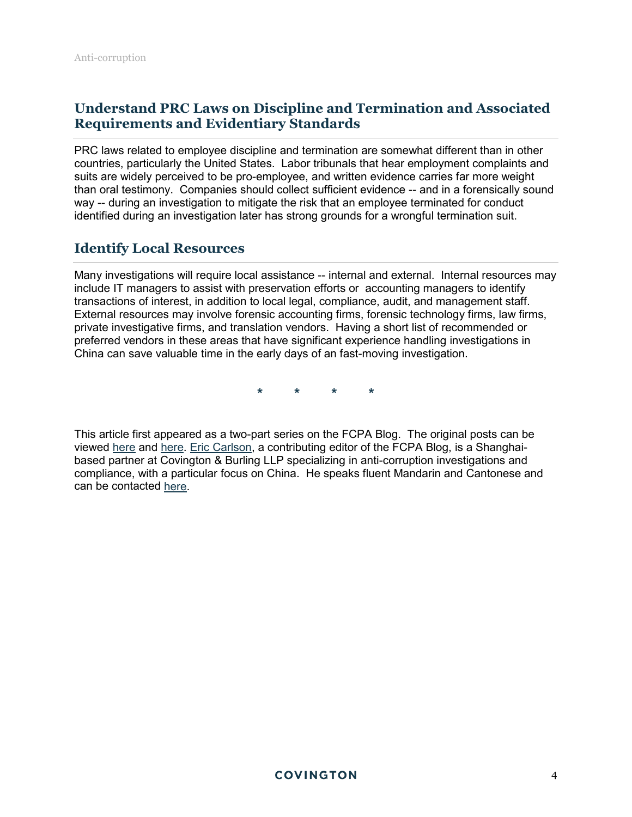## **Understand PRC Laws on Discipline and Termination and Associated Requirements and Evidentiary Standards**

PRC laws related to employee discipline and termination are somewhat different than in other countries, particularly the United States. Labor tribunals that hear employment complaints and suits are widely perceived to be pro-employee, and written evidence carries far more weight than oral testimony. Companies should collect sufficient evidence -- and in a forensically sound way -- during an investigation to mitigate the risk that an employee terminated for conduct identified during an investigation later has strong grounds for a wrongful termination suit.

## **Identify Local Resources**

Many investigations will require local assistance -- internal and external. Internal resources may include IT managers to assist with preservation efforts or accounting managers to identify transactions of interest, in addition to local legal, compliance, audit, and management staff. External resources may involve forensic accounting firms, forensic technology firms, law firms, private investigative firms, and translation vendors. Having a short list of recommended or preferred vendors in these areas that have significant experience handling investigations in China can save valuable time in the early days of an fast-moving investigation.

**\* \* \* \*** 

This article first appeared as a two-part series on the FCPA Blog. The original posts can be viewed [here](http://www.fcpablog.com/blog/2016/9/6/eric-carlson-take-the-headaches-out-of-china-investigations.html) and [here.](http://www.fcpablog.com/blog/2016/9/7/eric-carlson-take-the-headaches-out-of-china-investigations.html) [Eric Carlson,](https://www.cov.com/en/professionals/c/eric-carlson) a contributing editor of the FCPA Blog, is a Shanghaibased partner at Covington & Burling LLP specializing in anti-corruption investigations and compliance, with a particular focus on China. He speaks fluent Mandarin and Cantonese and can be contacted [here.](mailto:ecarlson@cov.com)